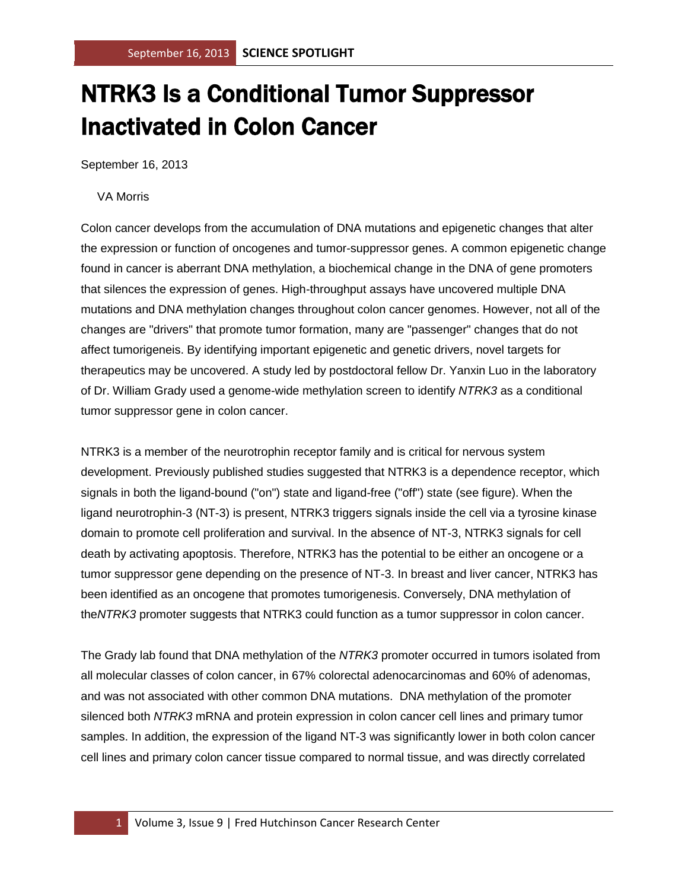## NTRK3 Is a Conditional Tumor Suppressor Inactivated in Colon Cancer

September 16, 2013

## VA Morris

Colon cancer develops from the accumulation of DNA mutations and epigenetic changes that alter the expression or function of oncogenes and tumor-suppressor genes. A common epigenetic change found in cancer is aberrant DNA methylation, a biochemical change in the DNA of gene promoters that silences the expression of genes. High-throughput assays have uncovered multiple DNA mutations and DNA methylation changes throughout colon cancer genomes. However, not all of the changes are "drivers" that promote tumor formation, many are "passenger" changes that do not affect tumorigeneis. By identifying important epigenetic and genetic drivers, novel targets for therapeutics may be uncovered. A study led by postdoctoral fellow Dr. Yanxin Luo in the laboratory of Dr. William Grady used a genome-wide methylation screen to identify *NTRK3* as a conditional tumor suppressor gene in colon cancer.

NTRK3 is a member of the neurotrophin receptor family and is critical for nervous system development. Previously published studies suggested that NTRK3 is a dependence receptor, which signals in both the ligand-bound ("on") state and ligand-free ("off") state (see figure). When the ligand neurotrophin-3 (NT-3) is present, NTRK3 triggers signals inside the cell via a tyrosine kinase domain to promote cell proliferation and survival. In the absence of NT-3, NTRK3 signals for cell death by activating apoptosis. Therefore, NTRK3 has the potential to be either an oncogene or a tumor suppressor gene depending on the presence of NT-3. In breast and liver cancer, NTRK3 has been identified as an oncogene that promotes tumorigenesis. Conversely, DNA methylation of the*NTRK3* promoter suggests that NTRK3 could function as a tumor suppressor in colon cancer.

The Grady lab found that DNA methylation of the *NTRK3* promoter occurred in tumors isolated from all molecular classes of colon cancer, in 67% colorectal adenocarcinomas and 60% of adenomas, and was not associated with other common DNA mutations. DNA methylation of the promoter silenced both *NTRK3* mRNA and protein expression in colon cancer cell lines and primary tumor samples. In addition, the expression of the ligand NT-3 was significantly lower in both colon cancer cell lines and primary colon cancer tissue compared to normal tissue, and was directly correlated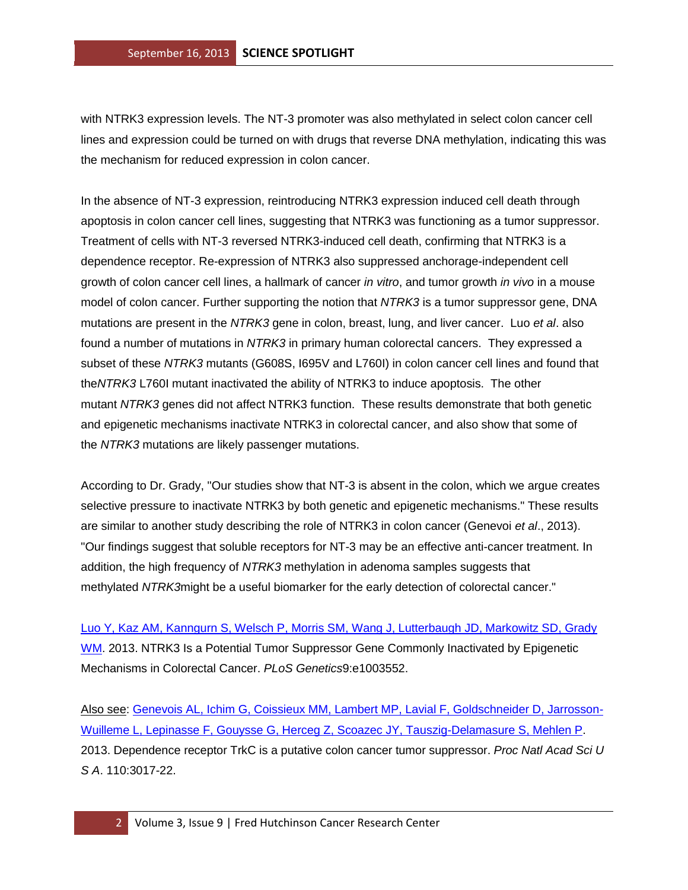with NTRK3 expression levels. The NT-3 promoter was also methylated in select colon cancer cell lines and expression could be turned on with drugs that reverse DNA methylation, indicating this was the mechanism for reduced expression in colon cancer.

In the absence of NT-3 expression, reintroducing NTRK3 expression induced cell death through apoptosis in colon cancer cell lines, suggesting that NTRK3 was functioning as a tumor suppressor. Treatment of cells with NT-3 reversed NTRK3-induced cell death, confirming that NTRK3 is a dependence receptor. Re-expression of NTRK3 also suppressed anchorage-independent cell growth of colon cancer cell lines, a hallmark of cancer *in vitro*, and tumor growth *in vivo* in a mouse model of colon cancer. Further supporting the notion that *NTRK3* is a tumor suppressor gene, DNA mutations are present in the *NTRK3* gene in colon, breast, lung, and liver cancer. Luo *et al*. also found a number of mutations in *NTRK3* in primary human colorectal cancers. They expressed a subset of these *NTRK3* mutants (G608S, I695V and L760I) in colon cancer cell lines and found that the*NTRK3* L760I mutant inactivated the ability of NTRK3 to induce apoptosis. The other mutant *NTRK3* genes did not affect NTRK3 function. These results demonstrate that both genetic and epigenetic mechanisms inactivat*e* NTRK3 in colorectal cancer, and also show that some of the *NTRK3* mutations are likely passenger mutations.

According to Dr. Grady, "Our studies show that NT-3 is absent in the colon, which we argue creates selective pressure to inactivate NTRK3 by both genetic and epigenetic mechanisms." These results are similar to another study describing the role of NTRK3 in colon cancer (Genevoi *et al*., 2013). "Our findings suggest that soluble receptors for NT-3 may be an effective anti-cancer treatment. In addition, the high frequency of *NTRK3* methylation in adenoma samples suggests that methylated *NTRK3*might be a useful biomarker for the early detection of colorectal cancer."

[Luo Y, Kaz AM, Kanngurn S, Welsch P, Morris SM, Wang J, Lutterbaugh JD, Markowitz SD, Grady](http://www.ncbi.nlm.nih.gov/pubmed/23874207?otool=fhcrclib)  [WM.](http://www.ncbi.nlm.nih.gov/pubmed/23874207?otool=fhcrclib) 2013. NTRK3 Is a Potential Tumor Suppressor Gene Commonly Inactivated by Epigenetic Mechanisms in Colorectal Cancer. *PLoS Genetics*9:e1003552.

Also see: [Genevois AL, Ichim G, Coissieux MM, Lambert MP, Lavial F, Goldschneider D, Jarrosson-](http://www.ncbi.nlm.nih.gov/pubmed/23341610?otool=fhcrclib)[Wuilleme L, Lepinasse F, Gouysse G, Herceg Z, Scoazec JY, Tauszig-Delamasure S, Mehlen P.](http://www.ncbi.nlm.nih.gov/pubmed/23341610?otool=fhcrclib) 2013. Dependence receptor TrkC is a putative colon cancer tumor suppressor. *Proc Natl Acad Sci U S A*. 110:3017-22.